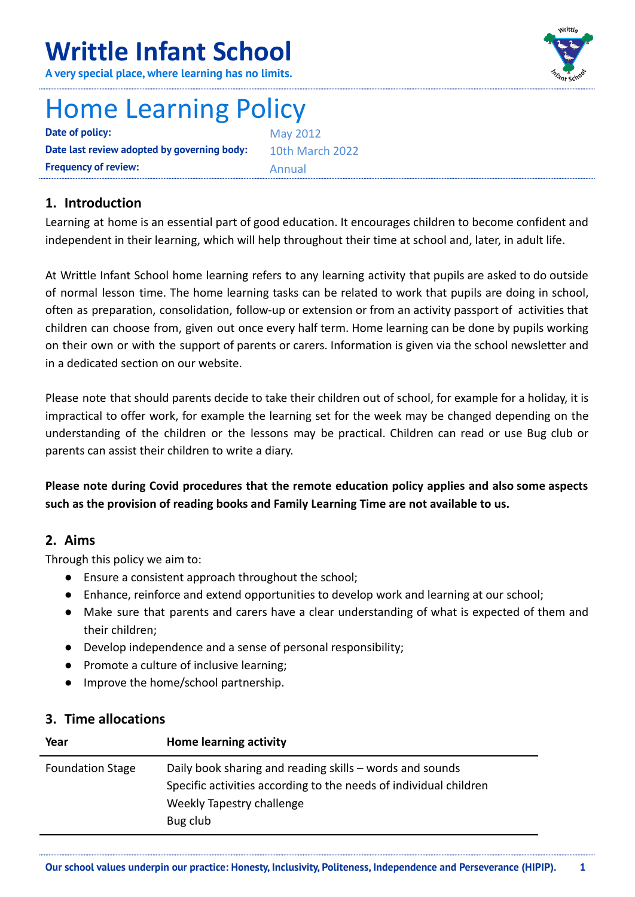# **Writtle Infant School**

**A very special place, where learning has no limits.**

# Home Learning Policy

**Date of policy:** May 2012 **Date last review adopted by governing body:** 10th March 2022 **Frequency of review:** Annual

# **1. Introduction**

Learning at home is an essential part of good education. It encourages children to become confident and independent in their learning, which will help throughout their time at school and, later, in adult life.

At Writtle Infant School home learning refers to any learning activity that pupils are asked to do outside of normal lesson time. The home learning tasks can be related to work that pupils are doing in school, often as preparation, consolidation, follow-up or extension or from an activity passport of activities that children can choose from, given out once every half term. Home learning can be done by pupils working on their own or with the support of parents or carers. Information is given via the school newsletter and in a dedicated section on our website.

Please note that should parents decide to take their children out of school, for example for a holiday, it is impractical to offer work, for example the learning set for the week may be changed depending on the understanding of the children or the lessons may be practical. Children can read or use Bug club or parents can assist their children to write a diary.

**Please note during Covid procedures that the remote education policy applies and also some aspects such as the provision of reading books and Family Learning Time are not available to us.**

### **2. Aims**

Through this policy we aim to:

- Ensure a consistent approach throughout the school;
- Enhance, reinforce and extend opportunities to develop work and learning at our school;
- Make sure that parents and carers have a clear understanding of what is expected of them and their children;
- Develop independence and a sense of personal responsibility;
- Promote a culture of inclusive learning;
- Improve the home/school partnership.

#### **3. Time allocations**

| Year                    | Home learning activity                                                                                                                                                 |
|-------------------------|------------------------------------------------------------------------------------------------------------------------------------------------------------------------|
| <b>Foundation Stage</b> | Daily book sharing and reading skills - words and sounds<br>Specific activities according to the needs of individual children<br>Weekly Tapestry challenge<br>Bug club |

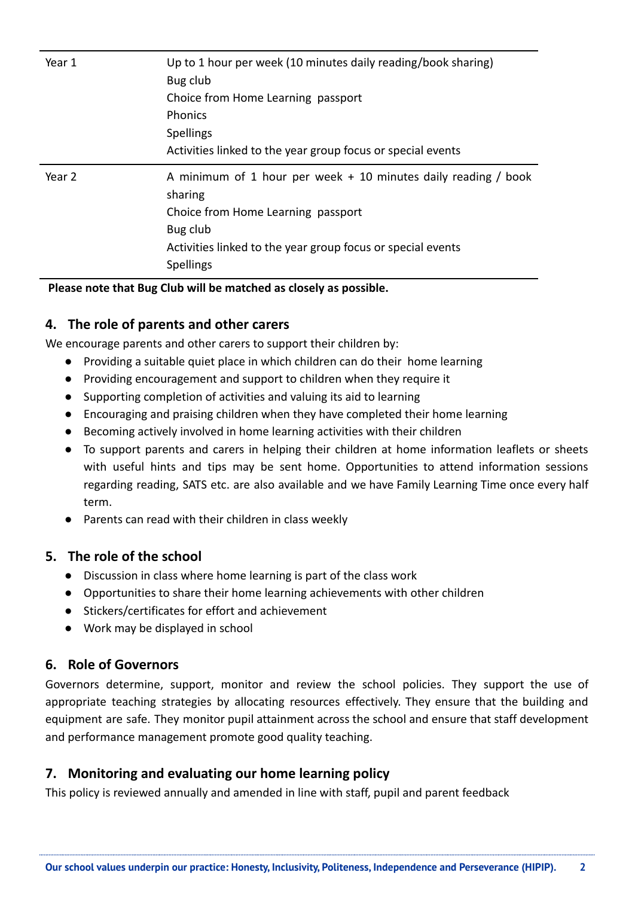| Year 1 | Up to 1 hour per week (10 minutes daily reading/book sharing)<br>Bug club<br>Choice from Home Learning passport<br><b>Phonics</b><br><b>Spellings</b><br>Activities linked to the year group focus or special events |
|--------|----------------------------------------------------------------------------------------------------------------------------------------------------------------------------------------------------------------------|
| Year 2 | A minimum of 1 hour per week + 10 minutes daily reading / book<br>sharing<br>Choice from Home Learning passport<br>Bug club<br>Activities linked to the year group focus or special events<br><b>Spellings</b>       |

**Please note that Bug Club will be matched as closely as possible.**

#### **4. The role of parents and other carers**

We encourage parents and other carers to support their children by:

- Providing a suitable quiet place in which children can do their home learning
- Providing encouragement and support to children when they require it
- Supporting completion of activities and valuing its aid to learning
- Encouraging and praising children when they have completed their home learning
- Becoming actively involved in home learning activities with their children
- To support parents and carers in helping their children at home information leaflets or sheets with useful hints and tips may be sent home. Opportunities to attend information sessions regarding reading, SATS etc. are also available and we have Family Learning Time once every half term.
- Parents can read with their children in class weekly

#### **5. The role of the school**

- Discussion in class where home learning is part of the class work
- Opportunities to share their home learning achievements with other children
- Stickers/certificates for effort and achievement
- Work may be displayed in school

#### **6. Role of Governors**

Governors determine, support, monitor and review the school policies. They support the use of appropriate teaching strategies by allocating resources effectively. They ensure that the building and equipment are safe. They monitor pupil attainment across the school and ensure that staff development and performance management promote good quality teaching.

### **7. Monitoring and evaluating our home learning policy**

This policy is reviewed annually and amended in line with staff, pupil and parent feedback